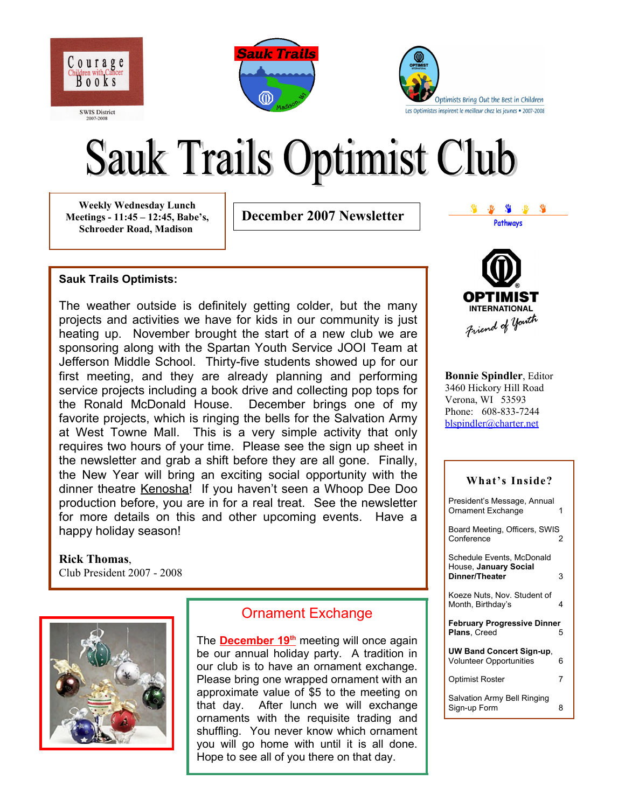





# **Sauk Trails Optimist Club**

**Weekly Wednesday Lunch Meetings - 11:45 – 12:45, Babe's, Schroeder Road, Madison**

**December 2007 Newsletter**

### **Sauk Trails Optimists:**

The weather outside is definitely getting colder, but the many projects and activities we have for kids in our community is just heating up. November brought the start of a new club we are sponsoring along with the Spartan Youth Service JOOI Team at Jefferson Middle School. Thirty-five students showed up for our first meeting, and they are already planning and performing service projects including a book drive and collecting pop tops for the Ronald McDonald House. December brings one of my favorite projects, which is ringing the bells for the Salvation Army at West Towne Mall. This is a very simple activity that only requires two hours of your time. Please see the sign up sheet in the newsletter and grab a shift before they are all gone. Finally, the New Year will bring an exciting social opportunity with the dinner theatre Kenosha! If you haven't seen a Whoop Dee Doo production before, you are in for a real treat. See the newsletter for more details on this and other upcoming events. Have a happy holiday season!

### **Rick Thomas**, Club President 2007 - 2008



# Ornament Exchange

The **December 19<sup>th</sup>** meeting will once again be our annual holiday party. A tradition in our club is to have an ornament exchange. Please bring one wrapped ornament with an approximate value of \$5 to the meeting on that day. After lunch we will exchange ornaments with the requisite trading and shuffling. You never know which ornament you will go home with until it is all done. Hope to see all of you there on that day.



**Pathways**

 $\mathcal{P}$   $\mathcal{P}$   $\mathcal{P}$ 

**Bonnie Spindler**, Editor 3460 Hickory Hill Road Verona, WI 53593 Phone: 608-833-7244 [blspindler@charter.net](mailto:blspindler@charter.net)

| What's Inside?                                                       |   |
|----------------------------------------------------------------------|---|
| President's Message, Annual<br>Ornament Exchange                     | 1 |
| Board Meeting, Officers, SWIS<br>Conference                          | 2 |
| Schedule Events, McDonald<br>House, January Social<br>Dinner/Theater | 3 |
| Koeze Nuts, Nov. Student of<br>Month, Birthday's                     | 4 |
| <b>February Progressive Dinner</b><br>Plans, Creed                   | 5 |
| <b>UW Band Concert Sign-up,</b><br><b>Volunteer Opportunities</b>    | 6 |
| <b>Optimist Roster</b>                                               | 7 |
| Salvation Army Bell Ringing<br>Sign-up Form                          | 8 |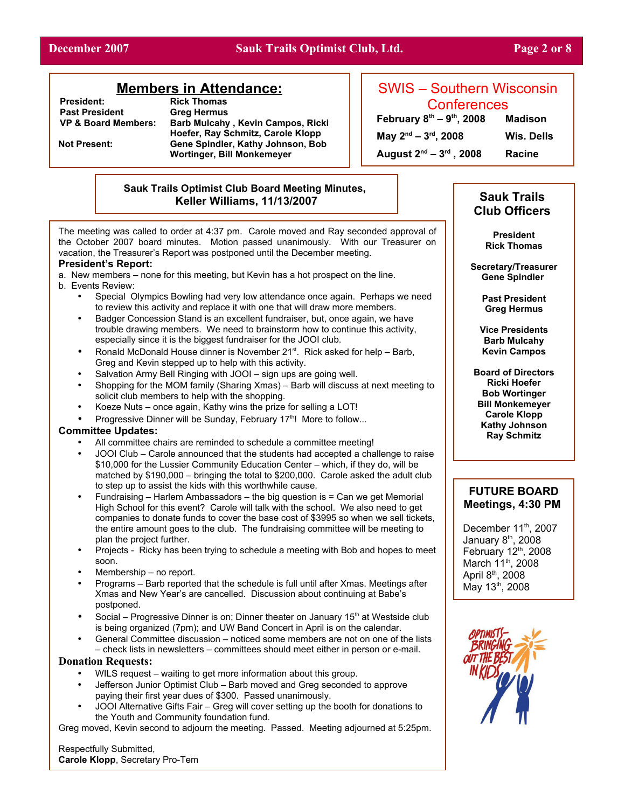### **December 2007 Sauk Trails Optimist Club, Ltd. Page 2 or 8**

## **Members in Attendance:**

**President:** Rick Thomas<br> **Past President** Greg Hermus **Past President<br>VP & Board Members:** 

**Barb Mulcahy, Kevin Campos, Ricki Hoefer, Ray Schmitz, Carole Klopp Not Present: Gene Spindler, Kathy Johnson, Bob Wortinger, Bill Monkemeyer**

# SWIS – Southern Wisconsin **Conferences**

**February 8 th – 9 th**

**, 2008 Madison**

**, 2008 Wis. Dells**

**August 2 nd – 3 rd , 2008 Racine**

**May**  $2^{nd}$  –  $3^{rd}$ 

### **Sauk Trails Optimist Club Board Meeting Minutes, Keller Williams, 11/13/2007 Sauk Trails**

The meeting was called to order at 4:37 pm. Carole moved and Ray seconded approval of the October 2007 board minutes. Motion passed unanimously. With our Treasurer on vacation, the Treasurer's Report was postponed until the December meeting.

### **President's Report:**

a. New members – none for this meeting, but Kevin has a hot prospect on the line.

- b. Events Review:
	- Special Olympics Bowling had very low attendance once again. Perhaps we need to review this activity and replace it with one that will draw more members.
	- Badger Concession Stand is an excellent fundraiser, but, once again, we have trouble drawing members. We need to brainstorm how to continue this activity, especially since it is the biggest fundraiser for the JOOI club.
	- Ronald McDonald House dinner is November 21<sup>st</sup>. Rick asked for help Barb, Greg and Kevin stepped up to help with this activity.
	- Salvation Army Bell Ringing with JOOI sign ups are going well.
	- Shopping for the MOM family (Sharing Xmas) Barb will discuss at next meeting to solicit club members to help with the shopping.
	- Koeze Nuts once again, Kathy wins the prize for selling a LOT!
	- Progressive Dinner will be Sunday, February 17<sup>th</sup>! More to follow...

### **Committee Updates:**

- All committee chairs are reminded to schedule a committee meeting!
- JOOI Club Carole announced that the students had accepted a challenge to raise \$10,000 for the Lussier Community Education Center – which, if they do, will be matched by \$190,000 – bringing the total to \$200,000. Carole asked the adult club to step up to assist the kids with this worthwhile cause.
- Fundraising Harlem Ambassadors the big question is = Can we get Memorial High School for this event? Carole will talk with the school. We also need to get companies to donate funds to cover the base cost of \$3995 so when we sell tickets, the entire amount goes to the club. The fundraising committee will be meeting to plan the project further.
- Projects Ricky has been trying to schedule a meeting with Bob and hopes to meet soon.
- Membership no report.
- Programs Barb reported that the schedule is full until after Xmas. Meetings after Xmas and New Year's are cancelled. Discussion about continuing at Babe's postponed.
- Social Progressive Dinner is on; Dinner theater on January 15<sup>th</sup> at Westside club is being organized (7pm); and UW Band Concert in April is on the calendar.
- General Committee discussion noticed some members are not on one of the lists – check lists in newsletters – committees should meet either in person or e-mail.

### **Donation Requests:**

- WILS request waiting to get more information about this group.
- Jefferson Junior Optimist Club Barb moved and Greg seconded to approve paying their first year dues of \$300. Passed unanimously.
- JOOI Alternative Gifts Fair Greg will cover setting up the booth for donations to the Youth and Community foundation fund.

Greg moved, Kevin second to adjourn the meeting. Passed. Meeting adjourned at 5:25pm.

Respectfully Submitted, **Carole Klopp**, Secretary Pro-Tem

# **Club Officers**

**President Rick Thomas**

**Secretary/Treasurer Gene Spindler** 

> **Past President Greg Hermus**

**Vice Presidents Barb Mulcahy Kevin Campos**

**Board of Directors Ricki Hoefer Bob Wortinger Bill Monkemeyer Carole Klopp Kathy Johnson Ray Schmitz**

### **FUTURE BOARD Meetings, 4:30 PM**

December 11<sup>th</sup>, 2007 January 8<sup>th</sup>, 2008 February 12<sup>th</sup>, 2008 March 11<sup>th</sup>, 2008 April 8<sup>th</sup>, 2008 May 13<sup>th</sup>, 2008

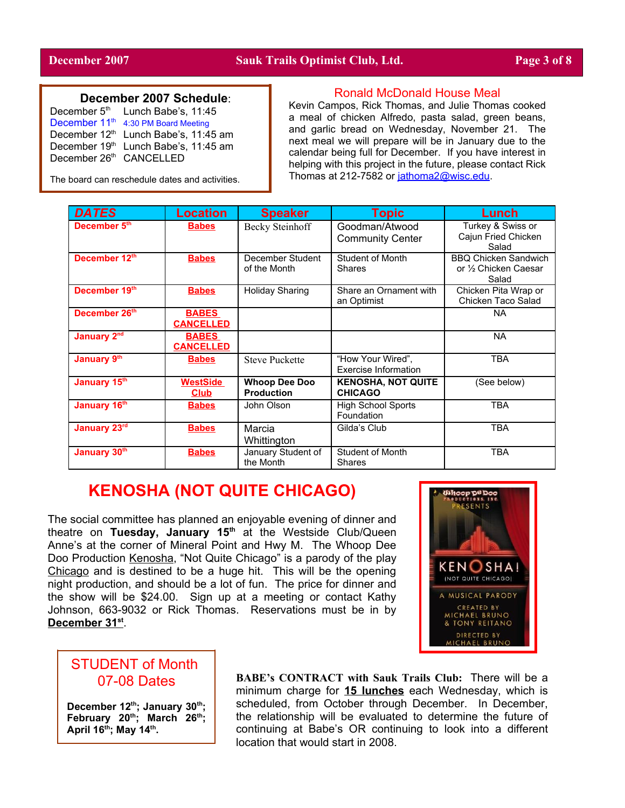### **December 2007 Schedule**:

| December 5th              | Lunch Babe's, 11:45                              |
|---------------------------|--------------------------------------------------|
| December 11 <sup>th</sup> | 4:30 PM Board Meeting                            |
|                           | December 12 <sup>th</sup> Lunch Babe's, 11:45 am |
|                           | December 19th Lunch Babe's, 11:45 am             |
| December 26th CANCELLED   |                                                  |

The board can reschedule dates and activities.

### Ronald McDonald House Meal

Kevin Campos, Rick Thomas, and Julie Thomas cooked a meal of chicken Alfredo, pasta salad, green beans, and garlic bread on Wednesday, November 21. The next meal we will prepare will be in January due to the calendar being full for December. If you have interest in helping with this project in the future, please contact Rick Thomas at 212-7582 or [jathoma2@wisc.edu](mailto:jathoma2@wisc.edu).

| <b>DATES</b>            | <b>Location</b>                  | <b>Speaker</b>                            | <b>Topic</b>                                | Lunch                                                         |
|-------------------------|----------------------------------|-------------------------------------------|---------------------------------------------|---------------------------------------------------------------|
| December 5th            | <b>Babes</b>                     | Becky Steinhoff                           | Goodman/Atwood<br><b>Community Center</b>   | Turkey & Swiss or<br>Cajun Fried Chicken<br>Salad             |
| December 12th           | <b>Babes</b>                     | December Student<br>of the Month          | <b>Student of Month</b><br>Shares           | <b>BBQ Chicken Sandwich</b><br>or 1/2 Chicken Caesar<br>Salad |
| December 19th           | <b>Babes</b>                     | <b>Holiday Sharing</b>                    | Share an Ornament with<br>an Optimist       | Chicken Pita Wrap or<br>Chicken Taco Salad                    |
| December 26th           | <b>BABES</b><br><b>CANCELLED</b> |                                           |                                             | NA.                                                           |
| January 2 <sup>nd</sup> | <b>BABES</b><br><b>CANCELLED</b> |                                           |                                             | <b>NA</b>                                                     |
| January 9th             | <b>Babes</b>                     | <b>Steve Puckette</b>                     | "How Your Wired",<br>Exercise Information   | <b>TBA</b>                                                    |
| January 15th            | WestSide<br><b>Club</b>          | <b>Whoop Dee Doo</b><br><b>Production</b> | <b>KENOSHA, NOT QUITE</b><br><b>CHICAGO</b> | (See below)                                                   |
| January 16th            | <b>Babes</b>                     | John Olson                                | <b>High School Sports</b><br>Foundation     | <b>TBA</b>                                                    |
| January 23rd            | <b>Babes</b>                     | Marcia<br>Whittington                     | Gilda's Club                                | <b>TBA</b>                                                    |
| January 30th            | <b>Babes</b>                     | January Student of<br>the Month           | Student of Month<br>Shares                  | <b>TBA</b>                                                    |

# **KENOSHA (NOT QUITE CHICAGO)**

The social committee has planned an enjoyable evening of dinner and theatre on **Tuesday, January 15 th** at the Westside Club/Queen Anne's at the corner of Mineral Point and Hwy M. The Whoop Dee Doo Production Kenosha, "Not Quite Chicago" is a parody of the play Chicago and is destined to be a huge hit. This will be the opening night production, and should be a lot of fun. The price for dinner and the show will be \$24.00. Sign up at a meeting or contact Kathy Johnson, 663-9032 or Rick Thomas. Reservations must be in by **D ecember 31 st** .



# STUDENT of Month 07-08 Dates

**December 12 th ; January 30 th ; February 20 th ; March 26 th ; April 16 th ; May 14 th .**

**BABE's CONTRACT with Sauk Trails Club:** There will be a minimum charge for **15 lunches** each Wednesday, which is scheduled, from October through December. In December, the relationship will be evaluated to determine the future of continuing at Babe's OR continuing to look into a different location that would start in 2008.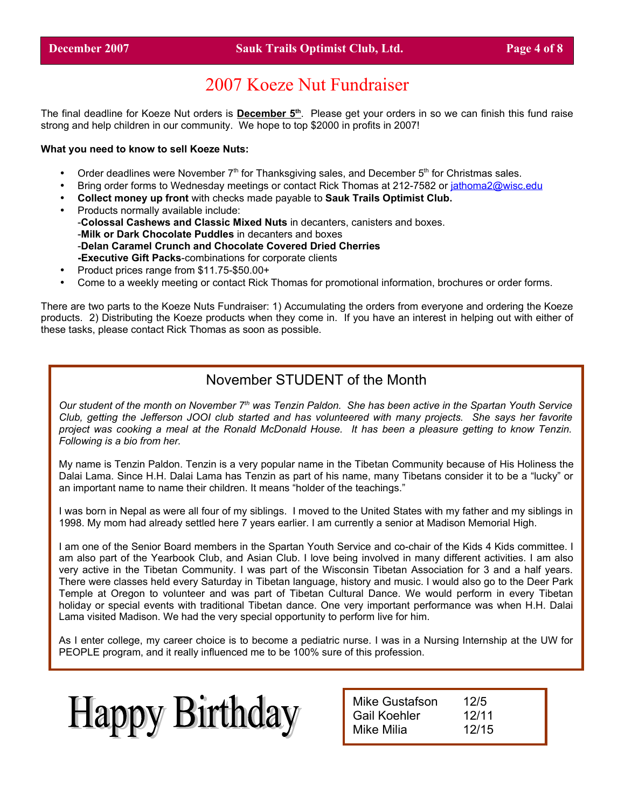# 2007 Koeze Nut Fundraiser

The final deadline for Koeze Nut orders is **December 5<sup>th</sup>**. Please get your orders in so we can finish this fund raise strong and help children in our community. We hope to top \$2000 in profits in 2007!

### **What you need to know to sell Koeze Nuts:**

- Order deadlines were November  $7<sup>th</sup>$  for Thanksgiving sales, and December  $5<sup>th</sup>$  for Christmas sales.
- Bring order forms to Wednesday meetings or contact Rick Thomas at 212-7582 or [jathoma2@wisc.edu](mailto:jathoma2@wisc.edu)
- **Collect money up front** with checks made payable to **Sauk Trails Optimist Club.**
- Products normally available include: -**Colossal Cashews and Classic Mixed Nuts** in decanters, canisters and boxes. -**Milk or Dark Chocolate Puddles** in decanters and boxes -**Delan Caramel Crunch and Chocolate Covered Dried Cherries -Executive Gift Packs**-combinations for corporate clients
- Product prices range from \$11.75-\$50.00+
- Come to a weekly meeting or contact Rick Thomas for promotional information, brochures or order forms.

There are two parts to the Koeze Nuts Fundraiser: 1) Accumulating the orders from everyone and ordering the Koeze products. 2) Distributing the Koeze products when they come in. If you have an interest in helping out with either of these tasks, please contact Rick Thomas as soon as possible.

# November STUDENT of the Month

Our student of the month on November 7<sup>th</sup> was Tenzin Paldon. She has been active in the Spartan Youth Service Club, getting the Jefferson JOOI club started and has volunteered with many projects. She says her favorite project was cooking a meal at the Ronald McDonald House. It has been a pleasure getting to know Tenzin. *Following is a bio from her.*

My name is Tenzin Paldon. Tenzin is a very popular name in the Tibetan Community because of His Holiness the Dalai Lama. Since H.H. Dalai Lama has Tenzin as part of his name, many Tibetans consider it to be a "lucky" or an important name to name their children. It means "holder of the teachings."

I was born in Nepal as were all four of my siblings. I moved to the United States with my father and my siblings in 1998. My mom had already settled here 7 years earlier. I am currently a senior at Madison Memorial High.

I am one of the Senior Board members in the Spartan Youth Service and co-chair of the Kids 4 Kids committee. I am also part of the Yearbook Club, and Asian Club. I love being involved in many different activities. I am also very active in the Tibetan Community. I was part of the Wisconsin Tibetan Association for 3 and a half years. There were classes held every Saturday in Tibetan language, history and music. I would also go to the Deer Park Temple at Oregon to volunteer and was part of Tibetan Cultural Dance. We would perform in every Tibetan holiday or special events with traditional Tibetan dance. One very important performance was when H.H. Dalai Lama visited Madison. We had the very special opportunity to perform live for him.

As I enter college, my career choice is to become a pediatric nurse. I was in a Nursing Internship at the UW for PEOPLE program, and it really influenced me to be 100% sure of this profession.



Mike Gustafson 12/5 Gail Koehler 12/11 Mike Milia 12/15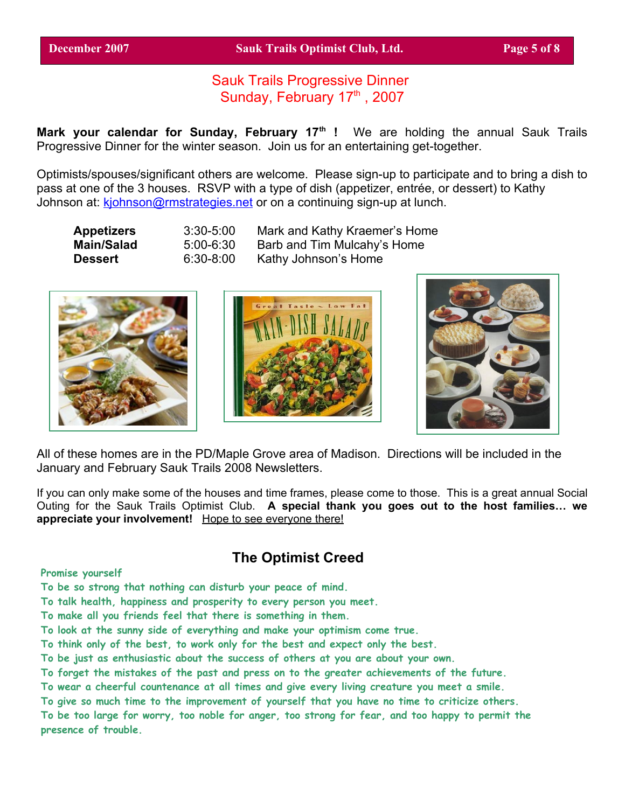**December 2007 Sauk Trails Optimist Club, Ltd. Page 5 of 8**

# Sauk Trails Progressive Dinner Sunday, February 17th, 2007

**Mark your calendar for Sunday, February 17 th !** We are holding the annual Sauk Trails Progressive Dinner for the winter season. Join us for an entertaining get-together.

Optimists/spouses/significant others are welcome. Please sign-up to participate and to bring a dish to pass at one of the 3 houses. RSVP with a type of dish (appetizer, entrée, or dessert) to Kathy Johnson at: [kjohnson@rmstrategies.net](mailto:kjohnson@rmstrategies.net) or on a continuing sign-up at lunch.

| Appetizers | $3:30 - 5:00$ | Mark and Kathy Kraemer's Home |
|------------|---------------|-------------------------------|
| Main/Salad | 5:00-6:30     | Barb and Tim Mulcahy's Home   |
| Dessert    | $6:30-8:00$   | Kathy Johnson's Home          |







All of these homes are in the PD/Maple Grove area of Madison. Directions will be included in the January and February Sauk Trails 2008 Newsletters.

If you can only make some of the houses and time frames, please come to those. This is a great annual Social Outing for the Sauk Trails Optimist Club. **A special thank you goes out to the host families… we appreciate your involvement!** Hope to see everyone there!

# **The Optimist Creed**

**Promise yourself**

**To be so strong that nothing can disturb your peace of mind.**

**To talk health, happiness and prosperity to every person you meet.**

**To make all you friends feel that there is something in them.**

**To look at the sunny side of everything and make your optimism come true.**

**To think only of the best, to work only for the best and expect only the best.**

**To be just as enthusiastic about the success of others at you are about your own.**

**To forget the mistakes of the past and press on to the greater achievements of the future.**

**To wear a cheerful countenance at all times and give every living creature you meet a smile.**

**To give so much time to the improvement of yourself that you have no time to criticize others.**

To be too large for worry, too noble for anger, too strong for fear, and too happy to permit the **presence of trouble.**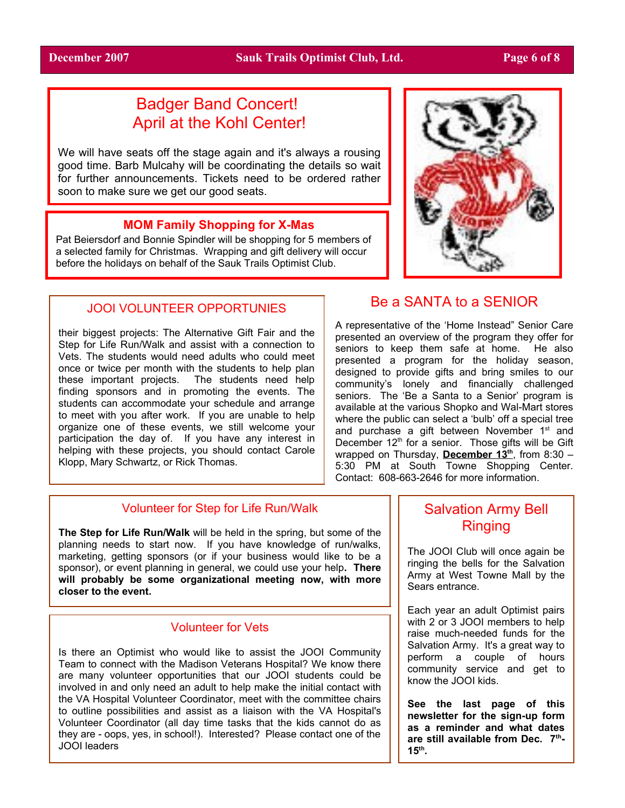# Badger Band Concert! April at the Kohl Center!

We will have seats off the stage again and it's always a rousing good time. Barb Mulcahy will be coordinating the details so wait for further announcements. Tickets need to be ordered rather soon to make sure we get our good seats.

### **MOM Family Shopping for X-Mas**

Pat Beiersdorf and Bonnie Spindler will be shopping for 5 members of a selected family for Christmas. Wrapping and gift delivery will occur before the holidays on behalf of the Sauk Trails Optimist Club.

### JOOI VOLUNTEER OPPORTUNIES

their biggest projects: The Alternative Gift Fair and the Step for Life Run/Walk and assist with a connection to Vets. The students would need adults who could meet once or twice per month with the students to help plan these important projects. The students need help finding sponsors and in promoting the events. The students can accommodate your schedule and arrange to meet with you after work. If you are unable to help organize one of these events, we still welcome your participation the day of. If you have any interest in helping with these projects, you should contact Carole Klopp, Mary Schwartz, or Rick Thomas.

# Be a SANTA to a SENIOR

A representative of the 'Home Instead" Senior Care presented an overview of the program they offer for seniors to keep them safe at home. He also presented a program for the holiday season, designed to provide gifts and bring smiles to our community's lonely and financially challenged seniors. The 'Be a Santa to a Senior' program is available at the various Shopko and Wal-Mart stores where the public can select a 'bulb' off a special tree and purchase a gift between November 1<sup>st</sup> and December 12<sup>th</sup> for a senior. Those gifts will be Gift wrapped on Thursday, **December 13<sup>th</sup>**, from 8:30 – 5:30 PM at South Towne Shopping Center. Contact: 608-663-2646 for more information.

### Volunteer for Step for Life Run/Walk

**The Step for Life Run/Walk** will be held in the spring, but some of the planning needs to start now. If you have knowledge of run/walks, marketing, getting sponsors (or if your business would like to be a sponsor), or event planning in general, we could use your help**. There will probably be some organizational meeting now, with more closer to the event.**

### Volunteer for Vets

Is there an Optimist who would like to assist the JOOI Community Team to connect with the Madison Veterans Hospital? We know there are many volunteer opportunities that our JOOI students could be involved in and only need an adult to help make the initial contact with the VA Hospital Volunteer Coordinator, meet with the committee chairs to outline possibilities and assist as a liaison with the VA Hospital's Volunteer Coordinator (all day time tasks that the kids cannot do as they are - oops, yes, in school!). Interested? Please contact one of the JOOI leaders

# Salvation Army Bell Ringing

The JOOI Club will once again be ringing the bells for the Salvation Army at West Towne Mall by the Sears entrance.

Each year an adult Optimist pairs with 2 or 3 JOOI members to help raise much-needed funds for the Salvation Army. It's a great way to perform a couple of hours community service and get to know the JOOI kids.

**See the last page of this newsletter for the sign-up form as a reminder and what dates are still available from Dec. 7 th - 15 th .**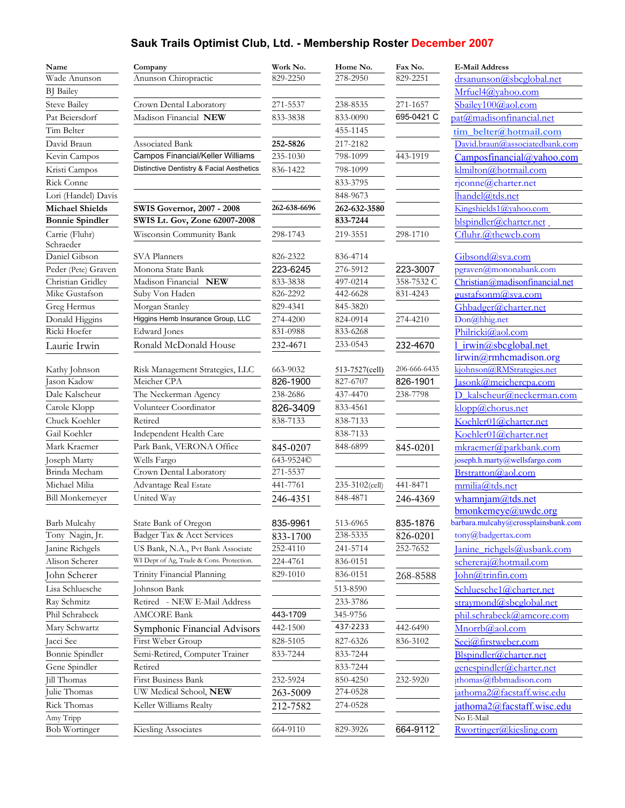# **Sauk Trails Optimist Club, Ltd. - Membership Roster December 2007**

| Name                   | Company                                   | Work No.     | Home No.       | Fax No.      | <b>E-Mail Address</b>               |
|------------------------|-------------------------------------------|--------------|----------------|--------------|-------------------------------------|
| Wade Anunson           | Anunson Chiropractic                      | 829-2250     | 278-2950       | 829-2251     | drsanunson@sbcglobal.net            |
| <b>BJ</b> Bailey       |                                           |              |                |              | Mrfuel4@yahoo.com                   |
| <b>Steve Bailey</b>    | Crown Dental Laboratory                   | 271-5537     | 238-8535       | 271-1657     | Sbailey100@aol.com                  |
| Pat Beiersdorf         | Madison Financial NEW                     | 833-3838     | 833-0090       | 695-0421 C   | pat@madisonfinancial.net            |
| Tim Belter             |                                           |              | 455-1145       |              | tim belter@hotmail.com              |
| David Braun            | Associated Bank                           | 252-5826     | 217-2182       |              | David.braun@associatedbank.com      |
| Kevin Campos           | Campos Financial/Keller Williams          | 235-1030     | 798-1099       | 443-1919     | Camposfinancial@yahoo.com           |
| Kristi Campos          | Distinctive Dentistry & Facial Aesthetics | 836-1422     | 798-1099       |              | klmilton@hotmail.com                |
| Rick Conne             |                                           |              | 833-3795       |              | rjconne@charter.net                 |
| Lori (Handel) Davis    |                                           |              | 848-9673       |              | lhandel@tds.net                     |
| <b>Michael Shields</b> | <b>SWIS Governor, 2007 - 2008</b>         | 262-638-6696 | 262-632-3580   |              | Kingshields1@yahoo.com              |
| <b>Bonnie Spindler</b> | SWIS Lt. Gov, Zone 62007-2008             |              | 833-7244       |              | blspindler@charter.net              |
| Carrie (Fluhr)         | Wisconsin Community Bank                  | 298-1743     | 219-3551       | 298-1710     | Cfluhr.@thewcb.com                  |
| Schraeder              |                                           |              |                |              |                                     |
| Daniel Gibson          | SVA Planners                              | 826-2322     | 836-4714       |              | Gibsond@sva.com                     |
| Peder (Pete) Graven    | Monona State Bank                         | 223-6245     | 276-5912       | 223-3007     | pgraven@mononabank.com              |
| Christian Gridley      | Madison Financial NEW                     | 833-3838     | 497-0214       | 358-7532 C   | Christian@madisonfinancial.net      |
| Mike Gustafson         | Suby Von Haden                            | 826-2292     | 442-6628       | 831-4243     | gustafsonm@sva.com                  |
| Greg Hermus            | Morgan Stanley                            | 829-4341     | 845-3820       |              | Ghbadger@charter.net                |
| Donald Higgins         | Higgins Hemb Insurance Group, LLC         | 274-4200     | 824-0914       | 274-4210     | Don@hhig.net                        |
| Ricki Hoefer           | Edward Jones                              | 831-0988     | 833-6268       |              | Philricki@aol.com                   |
| Laurie Irwin           | Ronald McDonald House                     | 232-4671     | 233-0543       | 232-4670     | 1 irwin@sbcglobal.net               |
|                        |                                           |              |                |              | lirwin@rmhcmadison.org              |
| Kathy Johnson          | Risk Management Strategies, LLC           | 663-9032     | 513-7527(cell) | 206-666-6435 | kjohnson@RMStrategies.net           |
| Jason Kadow            | Meicher CPA                               | 826-1900     | 827-6707       | 826-1901     | Jasonk@meichercpa.com               |
| Dale Kalscheur         | The Neckerman Agency                      | 238-2686     | 437-4470       | 238-7798     | D kalscheur@neckerman.com           |
| Carole Klopp           | Volunteer Coordinator                     | 826-3409     | 833-4561       |              | klopp@chorus.net                    |
| Chuck Koehler          | Retired                                   | 838-7133     | 838-7133       |              | Koehler01@charter.net               |
| Gail Koehler           | Independent Health Care                   |              | 838-7133       |              | Koehler01@charter.net               |
| Mark Kraemer           | Park Bank, VERONA Office                  | 845-0207     | 848-6899       | 845-0201     | mkraemer@parkbank.com               |
| Joseph Marty           | Wells Fargo                               | 643-9524C    |                |              | joseph.h.marty@wellsfargo.com       |
| Brinda Mecham          | Crown Dental Laboratory                   | 271-5537     |                |              | Brstratton@aol.com                  |
| Michael Milia          | Advantage Real Estate                     | 441-7761     | 235-3102(cell) | 441-8471     | mmilia@tds.net                      |
| <b>Bill Monkemeyer</b> | United Way                                | 246-4351     | 848-4871       | 246-4369     | whamnjam@tds.net                    |
|                        |                                           |              |                |              | $b$ monkemeye@uwdc.org              |
| Barb Mulcahy           | State Bank of Oregon                      | 835-9961     | 513-6965       | 835-1876     | barbara.mulcahy@crossplainsbank.com |
| Tony Nagin, Jr.        | Badger Tax & Acct Services                | 833-1700     | 238-5335       | 826-0201     | tony@badgertax.com                  |
| Janine Richgels        | US Bank, N.A., Pvt Bank Associate         | 252-4110     | 241-5714       | 252-7652     | Janine richgels@usbank.com          |
| Alison Scherer         | WI Dept of Ag, Trade & Cons. Protection.  | 224-4761     | 836-0151       |              | schereraj@hotmail.com               |
| John Scherer           | Trinity Financial Planning                | 829-1010     | 836-0151       | 268-8588     | John@trinfin.com                    |
| Lisa Schluesche        | Johnson Bank                              |              | 513-8590       |              | Schluesche1@charter.net             |
| Ray Schmitz            | Retired - NEW E-Mail Address              |              | 233-3786       |              | straymond@sbcglobal.net             |
| Phil Schrabeck         | <b>AMCORE Bank</b>                        | 443-1709     | 345-9756       |              | phil.schrabeck@amcore.com           |
| Mary Schwartz          | Symphonic Financial Advisors              | 442-1500     | 437-2233       | 442-6490     | Mnorrb@aol.com                      |
| Jacci See              | First Weber Group                         | 828-5105     | 827-6326       | 836-3102     | Seej@firstweber.com                 |
| Bonnie Spindler        | Semi-Retired, Computer Trainer            | 833-7244     | 833-7244       |              | Blspindler@charter.net              |
| Gene Spindler          | Retired                                   |              | 833-7244       |              | genespindler@charter.net            |
| <b>Jill Thomas</b>     | First Business Bank                       | 232-5924     | 850-4250       | 232-5920     | jthomas@fbbmadison.com              |
| Julie Thomas           | UW Medical School, NEW                    | 263-5009     | 274-0528       |              | iathoma2@facstaff.wisc.edu          |
| Rick Thomas            | Keller Williams Realty                    | 212-7582     | 274-0528       |              | jathoma2@facstaff.wisc.edu          |
| Amy Tripp              |                                           |              |                |              | No E-Mail                           |
| <b>Bob Wortinger</b>   | Kiesling Associates                       | 664-9110     | 829-3926       | 664-9112     | Rwortinger@kiesling.com             |